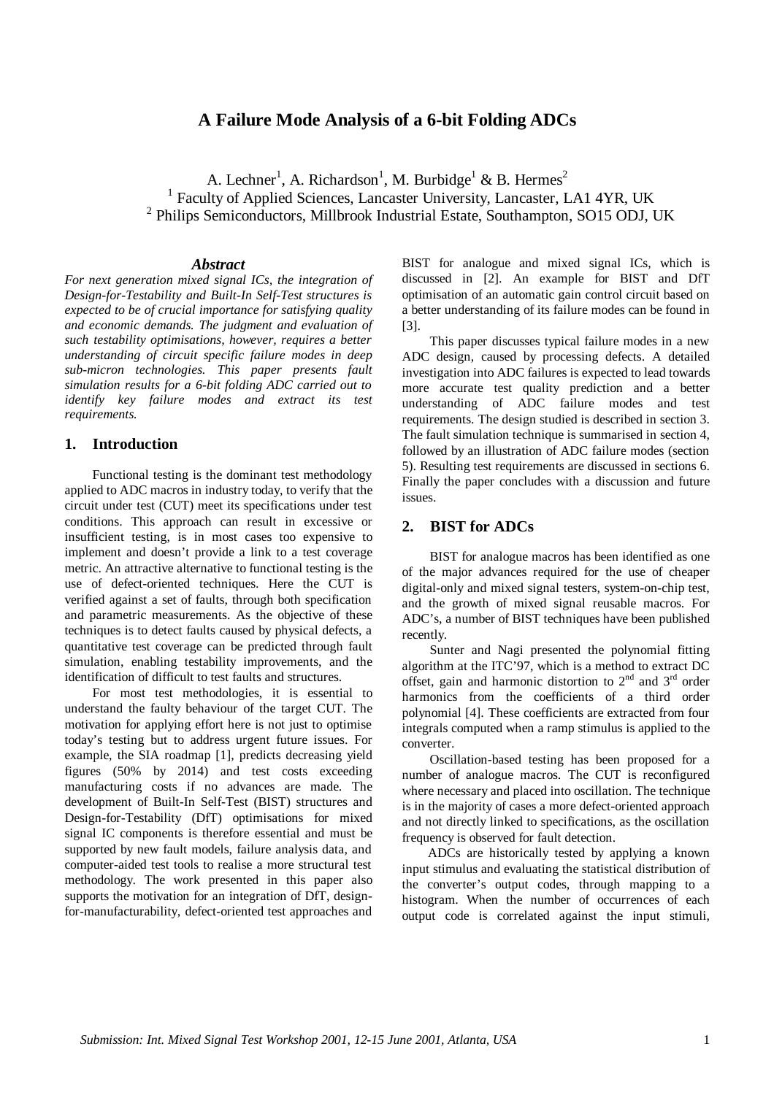# **A Failure Mode Analysis of a 6-bit Folding ADCs**

A. Lechner<sup>1</sup>, A. Richardson<sup>1</sup>, M. Burbidge<sup>1</sup> & B. Hermes<sup>2</sup> <sup>1</sup> Faculty of Applied Sciences, Lancaster University, Lancaster, LA1 4YR, UK <sup>2</sup> Philips Semiconductors, Millbrook Industrial Estate, Southampton, SO15 ODJ, UK

#### *Abstract*

*For next generation mixed signal ICs, the integration of Design-for-Testability and Built-In Self-Test structures is expected to be of crucial importance for satisfying quality and economic demands. The judgment and evaluation of such testability optimisations, however, requires a better understanding of circuit specific failure modes in deep sub-micron technologies. This paper presents fault simulation results for a 6-bit folding ADC carried out to identify key failure modes and extract its test requirements.*

#### **1. Introduction**

Functional testing is the dominant test methodology applied to ADC macros in industry today, to verify that the circuit under test (CUT) meet its specifications under test conditions. This approach can result in excessive or insufficient testing, is in most cases too expensive to implement and doesn't provide a link to a test coverage metric. An attractive alternative to functional testing is the use of defect-oriented techniques. Here the CUT is verified against a set of faults, through both specification and parametric measurements. As the objective of these techniques is to detect faults caused by physical defects, a quantitative test coverage can be predicted through fault simulation, enabling testability improvements, and the identification of difficult to test faults and structures.

For most test methodologies, it is essential to understand the faulty behaviour of the target CUT. The motivation for applying effort here is not just to optimise today's testing but to address urgent future issues. For example, the SIA roadmap [1], predicts decreasing yield figures (50% by 2014) and test costs exceeding manufacturing costs if no advances are made. The development of Built-In Self-Test (BIST) structures and Design-for-Testability (DfT) optimisations for mixed signal IC components is therefore essential and must be supported by new fault models, failure analysis data, and computer-aided test tools to realise a more structural test methodology. The work presented in this paper also supports the motivation for an integration of DfT, designfor-manufacturability, defect-oriented test approaches and

BIST for analogue and mixed signal ICs, which is discussed in [2]. An example for BIST and DfT optimisation of an automatic gain control circuit based on a better understanding of its failure modes can be found in [3].

This paper discusses typical failure modes in a new ADC design, caused by processing defects. A detailed investigation into ADC failures is expected to lead towards more accurate test quality prediction and a better understanding of ADC failure modes and test requirements. The design studied is described in section 3. The fault simulation technique is summarised in section 4. followed by an illustration of ADC failure modes (section 5). Resulting test requirements are discussed in sections 6. Finally the paper concludes with a discussion and future issues.

### **2. BIST for ADCs**

BIST for analogue macros has been identified as one of the major advances required for the use of cheaper digital-only and mixed signal testers, system-on-chip test, and the growth of mixed signal reusable macros. For ADC's, a number of BIST techniques have been published recently.

Sunter and Nagi presented the polynomial fitting algorithm at the ITC'97, which is a method to extract DC offset, gain and harmonic distortion to  $2<sup>nd</sup>$  and  $3<sup>rd</sup>$  order harmonics from the coefficients of a third order polynomial [4]. These coefficients are extracted from four integrals computed when a ramp stimulus is applied to the converter.

Oscillation-based testing has been proposed for a number of analogue macros. The CUT is reconfigured where necessary and placed into oscillation. The technique is in the majority of cases a more defect-oriented approach and not directly linked to specifications, as the oscillation frequency is observed for fault detection.

ADCs are historically tested by applying a known input stimulus and evaluating the statistical distribution of the converter's output codes, through mapping to a histogram. When the number of occurrences of each output code is correlated against the input stimuli,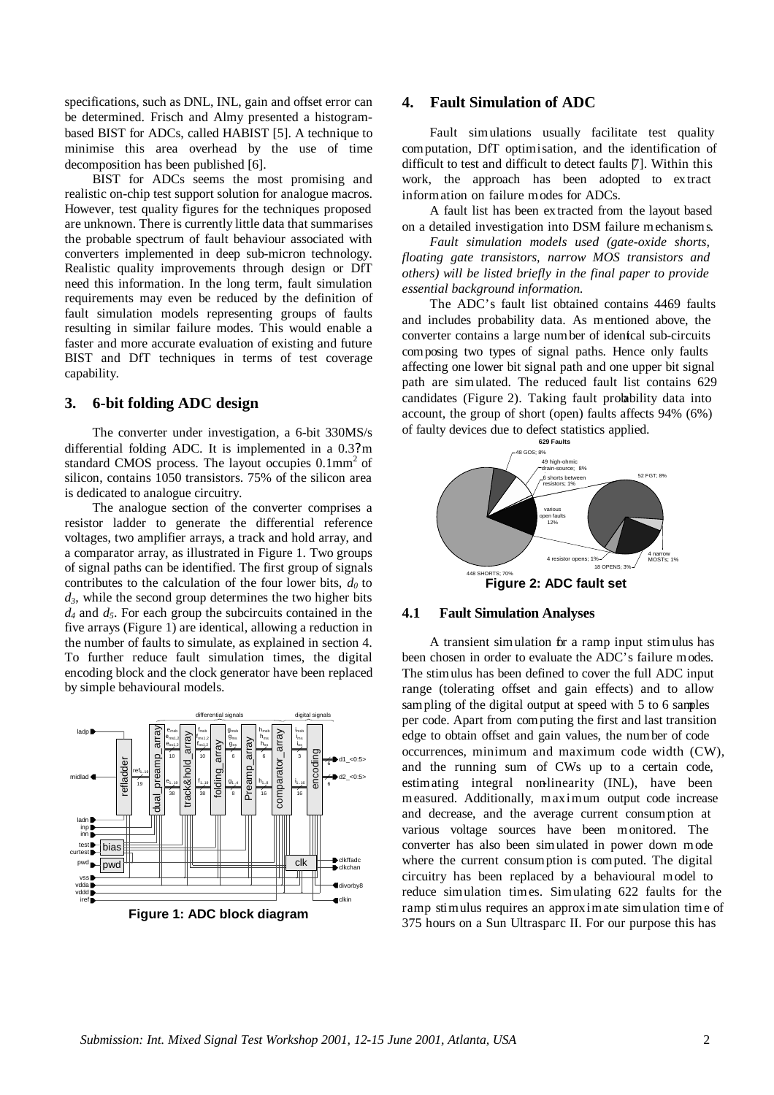specifications, such as DNL, INL, gain and offset error can be determined. Frisch and Almy presented a histogrambased BIST for ADCs, called HABIST [5]. A technique to minimise this area overhead by the use of time decomposition has been published [6].

BIST for ADCs seems the most promising and realistic on-chip test support solution for analogue macros. However, test quality figures for the techniques proposed are unknown. There is currently little data that summarises the probable spectrum of fault behaviour associated with converters implemented in deep sub-micron technology. Realistic quality improvements through design or DfT need this information. In the long term, fault simulation requirements may even be reduced by the definition of fault simulation models representing groups of faults resulting in similar failure modes. This would enable a faster and more accurate evaluation of existing and future BIST and DfT techniques in terms of test coverage capability.

### **3. 6-bit folding ADC design**

The converter under investigation, a 6-bit 330MS/s differential folding ADC. It is implemented in a 0.3? m standard CMOS process. The layout occupies 0.1mm<sup>2</sup> of silicon, contains 1050 transistors. 75% of the silicon area is dedicated to analogue circuitry.

The analogue section of the converter comprises a resistor ladder to generate the differential reference voltages, two amplifier arrays, a track and hold array, and a comparator array, as illustrated in Figure 1. Two groups of signal paths can be identified. The first group of signals contributes to the calculation of the four lower bits,  $d_0$  to  $d_3$ , while the second group determines the two higher bits *d4* and *d5*. For each group the subcircuits contained in the five arrays (Figure 1) are identical, allowing a reduction in the number of faults to simulate, as explained in section 4. To further reduce fault simulation times, the digital encoding block and the clock generator have been replaced by simple behavioural models.



### **4. Fault Simulation of ADC**

Fault simulations usually facilitate test quality computation, DfT optimisation, and the identification of difficult to test and difficult to detect faults [7]. Within this work, the approach has been adopted to ex tract information on failure modes for ADCs.

A fault list has been ex tracted from the layout based on a detailed investigation into DSM failure mechanisms.

*Fault simulation models used (gate-oxide shorts, floating gate transistors, narrow MOS transistors and others) will be listed briefly in the final paper to provide essential background information.* 

The ADC's fault list obtained contains 4469 faults and includes probability data. As mentioned above, the converter contains a large number of identical sub-circuits composing two types of signal paths. Hence only faults affecting one lower bit signal path and one upper bit signal path are simulated. The reduced fault list contains 629 candidates (Figure 2). Taking fault probability data into account, the group of short (open) faults affects 94% (6%) of faulty devices due to defect statistics applied.



# **4.1 Fault Simulation Analyses**

A transient simulation for a ramp input stimulus has been chosen in order to evaluate the ADC's failure modes. The stimulus has been defined to cover the full ADC input range (tolerating offset and gain effects) and to allow sampling of the digital output at speed with 5 to 6 samples per code. Apart from computing the first and last transition edge to obtain offset and gain values, the number of code occurrences, minimum and maximum code width (CW), and the running sum of CWs up to a certain code, estimating integral non-linearity (INL), have been measured. Additionally, maximum output code increase and decrease, and the average current consumption at various voltage sources have been monitored. The converter has also been simulated in power down mode where the current consumption is computed. The digital circuitry has been replaced by a behavioural model to reduce simulation times. Simulating 622 faults for the ramp stimulus requires an approximate simulation time of 375 hours on a Sun Ultrasparc II. For our purpose this has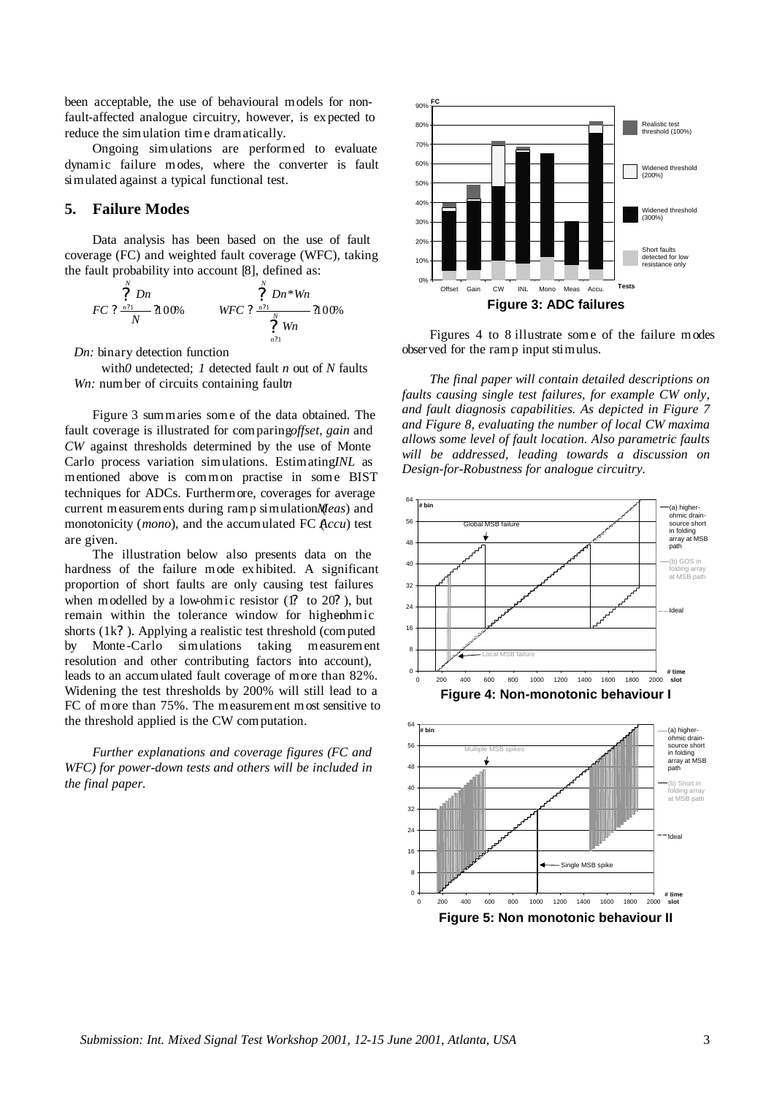been acceptable, the use of behavioural models for nonfault-affected analogue circuitry, however, is ex pected to reduce the simulation time dramatically.

Ongoing simulations are performed to evaluate dynamic failure modes, where the converter is fault simulated against a typical functional test.

# **5. Failure Modes**

Data analysis has been based on the use of fault coverage (FC) and weighted fault coverage (WFC), taking the fault probability into account [8], defined as:

$$
FC\ ?\ \frac{\overset{N}{2}Dn}{N}2100\% \qquad \qquad WFC\ ?\ \frac{\overset{N}{2}Dn*Wh}{\overset{N}{2}Wn}2100\%
$$

*Dn:* binary detection function

with *0* undetected; *1* detected fault *n* out of *N* faults *Wn:* number of circuits containing fault *n* 

Figure 3 summaries some of the data obtained. The fault coverage is illustrated for comparing *offset*, *gain* and *CW* against thresholds determined by the use of Monte Carlo process variation simulations. Estimating *INL* as mentioned above is common practise in some BIST techniques for ADCs. Furthermore, coverages for average current measurements during ramp simulation (*Meas*) and monotonicity (*mono*), and the accumulated FC  $Accu$ ) test are given.

The illustration below also presents data on the hardness of the failure mode exhibited. A significant proportion of short faults are only causing test failures when modelled by a low-ohmic resistor  $(1)$  to  $20$ ?), but remain within the tolerance window for highenshorts (1k? ). Applying a realistic test threshold (computed by Monte -Carlo simulations taking measurement resolution and other contributing factors into account), leads to an accumulated fault coverage of more than 82%. Widening the test thresholds by 200% will still lead to a FC of more than 75%. The measurement most sensitive to the threshold applied is the CW computation.

*Further explanations and coverage figures (FC and WFC) for power-down tests and others will be included in the final paper.*



Figures 4 to 8 illustrate some of the failure modes observed for the ramp input stimulus.

*The final paper will contain detailed descriptions on faults causing single test failures, for example CW only, and fault diagnosis capabilities. As depicted in Figure 7 and Figure 8, evaluating the number of local CW maxima allows some level of fault location. Also parametric faults will be addressed, leading towards a discussion on Design-for-Robustness for analogue circuitry.*

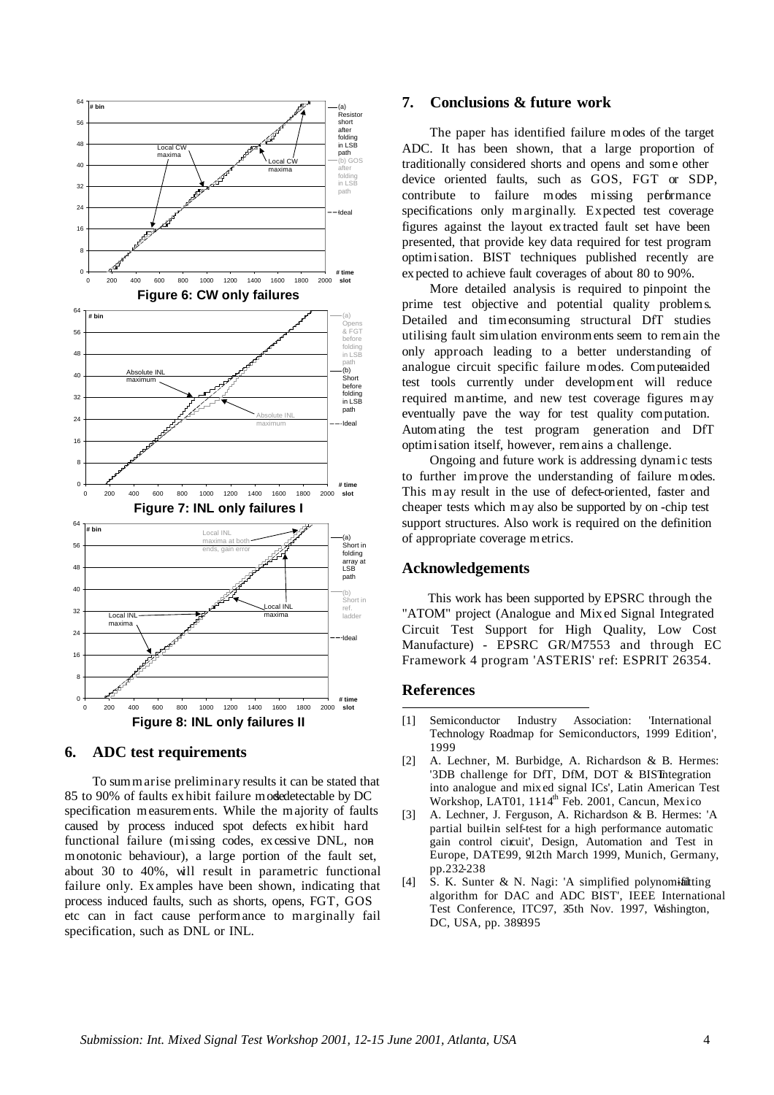

#### **6. ADC test requirements**

To summarise preliminary results it can be stated that 85 to 90% of faults exhibit failure modedetectable by DC specification measurements. While the majority of faults caused by process induced spot defects exhibit hard functional failure (missing codes, ex cessive DNL, nonmonotonic behaviour), a large portion of the fault set, about 30 to 40%, will result in parametric functional failure only. Ex amples have been shown, indicating that process induced faults, such as shorts, opens, FGT, GOS etc can in fact cause performance to marginally fail specification, such as DNL or INL.

### **7. Conclusions & future work**

The paper has identified failure modes of the target ADC. It has been shown, that a large proportion of traditionally considered shorts and opens and some other device oriented faults, such as GOS, FGT or SDP, contribute to failure modes missing performance specifications only marginally. Expected test coverage figures against the layout ex tracted fault set have been presented, that provide key data required for test program optimisation. BIST techniques published recently are ex pected to achieve fault coverages of about 80 to 90%.

More detailed analysis is required to pinpoint the prime test objective and potential quality problems. Detailed and timeconsuming structural DfT studies utilising fault simulation environments seem to remain the only approach leading to a better understanding of analogue circuit specific failure modes. Computeraided test tools currently under development will reduce required man-time, and new test coverage figures may eventually pave the way for test quality computation. Automating the test program generation and DfT optimisation itself, however, remains a challenge.

Ongoing and future work is addressing dynamic tests to further improve the understanding of failure modes. This may result in the use of defect-oriented, faster and cheaper tests which may also be supported by on -chip test support structures. Also work is required on the definition of appropriate coverage metrics.

#### **Acknowledgements**

This work has been supported by EPSRC through the "ATOM" project (Analogue and Mix ed Signal Integrated Circuit Test Support for High Quality, Low Cost Manufacture) - EPSRC GR/M7553 and through EC Framework 4 program 'ASTERIS' ref: ESPRIT 26354.

# **References**

l

- [1] Semiconductor Industry Association: 'International Technology Roadmap for Semiconductors, 1999 Edition', 1999
- [2] A. Lechner, M. Burbidge, A. Richardson & B. Hermes: '3DB challenge for DfT, DfM, DOT & BIST integration into analogue and mix ed signal ICs', Latin American Test Workshop, LAT01, 1114<sup>th</sup> Feb. 2001, Cancun, Mexico
- [3] A. Lechner, J. Ferguson, A. Richardson & B. Hermes: 'A partial builtin self-test for a high performance automatic gain control circuit', Design, Automation and Test in Europe, DATE99, 912th March 1999, Munich, Germany, pp.232-238
- [4] S. K. Sunter & N. Nagi: 'A simplified polynomifiating algorithm for DAC and ADC BIST', IEEE International Test Conference, ITC97, 35th Nov. 1997, Washington, DC, USA, pp. 389395